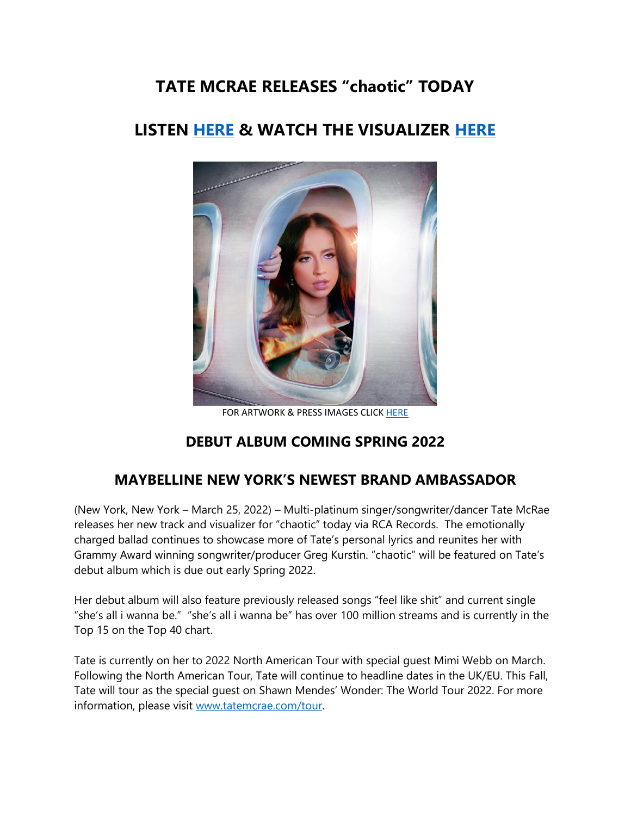# **TATE MCRAE RELEASES "chaotic" TODAY**

# **LISTEN [HERE](https://eur01.safelinks.protection.outlook.com/?url=https%3A%2F%2Ftatemcrae.lnk.to%2Fxchaoticx&data=04%7C01%7Cnoelle.janasiewicz.sme%40sonymusic.com%7Cf7bbe0ea3bf44bc524b508da0e63bf12%7Cf0aff3b791a54aaeaf71c63e1dda2049%7C0%7C0%7C637838118836870304%7CUnknown%7CTWFpbGZsb3d8eyJWIjoiMC4wLjAwMDAiLCJQIjoiV2luMzIiLCJBTiI6Ik1haWwiLCJXVCI6Mn0%3D%7C3000&sdata=1RWY9PHl6%2F9x5D50tUkZZI7Oi5Kw55%2Bg59FHHx71zFU%3D&reserved=0) & WATCH THE VISUALIZER [HERE](https://eur01.safelinks.protection.outlook.com/?url=https%3A%2F%2Fwww.youtube.com%2Fwatch%3Fv%3Dt6B6nS5ljzU&data=04%7C01%7Cnoelle.janasiewicz.sme%40sonymusic.com%7Cf7bbe0ea3bf44bc524b508da0e63bf12%7Cf0aff3b791a54aaeaf71c63e1dda2049%7C0%7C0%7C637838118836870304%7CUnknown%7CTWFpbGZsb3d8eyJWIjoiMC4wLjAwMDAiLCJQIjoiV2luMzIiLCJBTiI6Ik1haWwiLCJXVCI6Mn0%3D%7C3000&sdata=vZWcEC60XYZkqfb9Q%2BuMxE6HcWjqfmEScZQWZuBuJe8%3D&reserved=0)**



FOR ARTWORK & PRESS IMAGES CLICK [HERE](https://eur01.safelinks.protection.outlook.com/?url=https%3A%2F%2Fapp.box.com%2Fs%2F4x95ehx8ymogi35vkltbqcdxpmlqt6rw&data=04%7C01%7Cnoelle.janasiewicz.sme%40sonymusic.com%7Cf7bbe0ea3bf44bc524b508da0e63bf12%7Cf0aff3b791a54aaeaf71c63e1dda2049%7C0%7C0%7C637838118836870304%7CUnknown%7CTWFpbGZsb3d8eyJWIjoiMC4wLjAwMDAiLCJQIjoiV2luMzIiLCJBTiI6Ik1haWwiLCJXVCI6Mn0%3D%7C3000&sdata=jtY1OhWTXkXlgUIHjmKEc41BEsbJUaIqWuA4QN%2FyVyo%3D&reserved=0)

### **DEBUT ALBUM COMING SPRING 2022**

## **MAYBELLINE NEW YORK'S NEWEST BRAND AMBASSADOR**

(New York, New York – March 25, 2022) – Multi-platinum singer/songwriter/dancer Tate McRae releases her new track and visualizer for "chaotic" today via RCA Records. The emotionally charged ballad continues to showcase more of Tate's personal lyrics and reunites her with Grammy Award winning songwriter/producer Greg Kurstin. "chaotic" will be featured on Tate's debut album which is due out early Spring 2022.

Her debut album will also feature previously released songs "feel like shit" and current single "she's all i wanna be." "she's all i wanna be" has over 100 million streams and is currently in the Top 15 on the Top 40 chart.

Tate is currently on her to 2022 North American Tour with special guest Mimi Webb on March. Following the North American Tour, Tate will continue to headline dates in the UK/EU. This Fall, Tate will tour as the special guest on Shawn Mendes' Wonder: The World Tour 2022. For more information, please visit [www.tatemcrae.com/tour.](https://eur01.safelinks.protection.outlook.com/?url=http%3A%2F%2Fwww.tatemcrae.com%2Ftour&data=04%7C01%7Cnoelle.janasiewicz.sme%40sonymusic.com%7Cf7bbe0ea3bf44bc524b508da0e63bf12%7Cf0aff3b791a54aaeaf71c63e1dda2049%7C0%7C0%7C637838118836870304%7CUnknown%7CTWFpbGZsb3d8eyJWIjoiMC4wLjAwMDAiLCJQIjoiV2luMzIiLCJBTiI6Ik1haWwiLCJXVCI6Mn0%3D%7C3000&sdata=Hwei07NwCCgpalUExxBcqvE1gX3nVrKj06VflCo4TJI%3D&reserved=0)